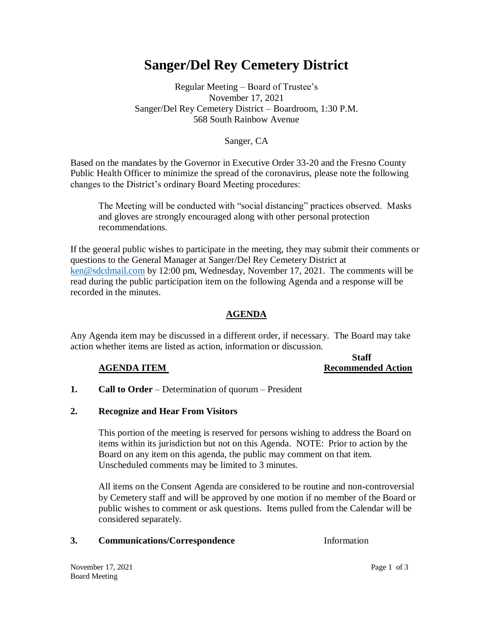# **Sanger/Del Rey Cemetery District**

# Regular Meeting – Board of Trustee's November 17, 2021 Sanger/Del Rey Cemetery District – Boardroom, 1:30 P.M. 568 South Rainbow Avenue

### Sanger, CA

Based on the mandates by the Governor in Executive Order 33-20 and the Fresno County Public Health Officer to minimize the spread of the coronavirus, please note the following changes to the District's ordinary Board Meeting procedures:

The Meeting will be conducted with "social distancing" practices observed. Masks and gloves are strongly encouraged along with other personal protection recommendations.

If the general public wishes to participate in the meeting, they may submit their comments or questions to the General Manager at Sanger/Del Rey Cemetery District at [ken@sdcdmail.com](mailto:ken@sdcdmail.com) by 12:00 pm, Wednesday, November 17, 2021. The comments will be read during the public participation item on the following Agenda and a response will be recorded in the minutes.

### **AGENDA**

Any Agenda item may be discussed in a different order, if necessary. The Board may take action whether items are listed as action, information or discussion.

#### **Staff AGENDA ITEM** Recommended Action

**1. Call to Order** – Determination of quorum – President

#### **2. Recognize and Hear From Visitors**

This portion of the meeting is reserved for persons wishing to address the Board on items within its jurisdiction but not on this Agenda. NOTE: Prior to action by the Board on any item on this agenda, the public may comment on that item. Unscheduled comments may be limited to 3 minutes.

All items on the Consent Agenda are considered to be routine and non-controversial by Cemetery staff and will be approved by one motion if no member of the Board or public wishes to comment or ask questions. Items pulled from the Calendar will be considered separately.

#### **3. Communications/Correspondence** Information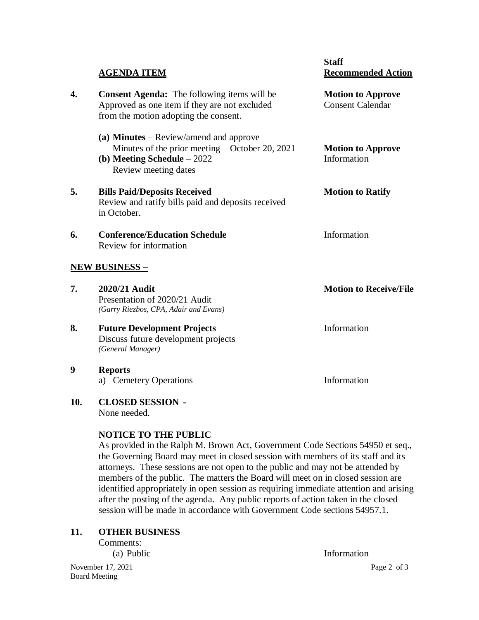|    | <b>AGENDA ITEM</b>                                                                                                                                | <b>Staff</b><br><b>Recommended Action</b>           |
|----|---------------------------------------------------------------------------------------------------------------------------------------------------|-----------------------------------------------------|
| 4. | <b>Consent Agenda:</b> The following items will be<br>Approved as one item if they are not excluded<br>from the motion adopting the consent.      | <b>Motion to Approve</b><br><b>Consent Calendar</b> |
|    | (a) Minutes – Review/amend and approve<br>Minutes of the prior meeting – October 20, 2021<br>(b) Meeting Schedule $-2022$<br>Review meeting dates | <b>Motion to Approve</b><br>Information             |
| 5. | <b>Bills Paid/Deposits Received</b><br>Review and ratify bills paid and deposits received<br>in October.                                          | <b>Motion to Ratify</b>                             |
| 6. | <b>Conference/Education Schedule</b><br>Review for information                                                                                    | Information                                         |
|    | <u>NEW BUSINESS – </u>                                                                                                                            |                                                     |
| 7. | 2020/21 Audit<br>Presentation of 2020/21 Audit<br>(Garry Riezbos, CPA, Adair and Evans)                                                           | <b>Motion to Receive/File</b>                       |
| 8. | <b>Future Development Projects</b><br>Discuss future development projects<br>(General Manager)                                                    | Information                                         |
| 9  | <b>Reports</b><br>a) Cemetery Operations                                                                                                          | Information                                         |

**10. CLOSED SESSION -** None needed.

# **NOTICE TO THE PUBLIC**

As provided in the Ralph M. Brown Act, Government Code Sections 54950 et seq., the Governing Board may meet in closed session with members of its staff and its attorneys. These sessions are not open to the public and may not be attended by members of the public. The matters the Board will meet on in closed session are identified appropriately in open session as requiring immediate attention and arising after the posting of the agenda. Any public reports of action taken in the closed session will be made in accordance with Government Code sections 54957.1.

# **11. OTHER BUSINESS**

Comments:

November 17, 2021 Page 2 of 3 Board Meeting

(a) Public Information